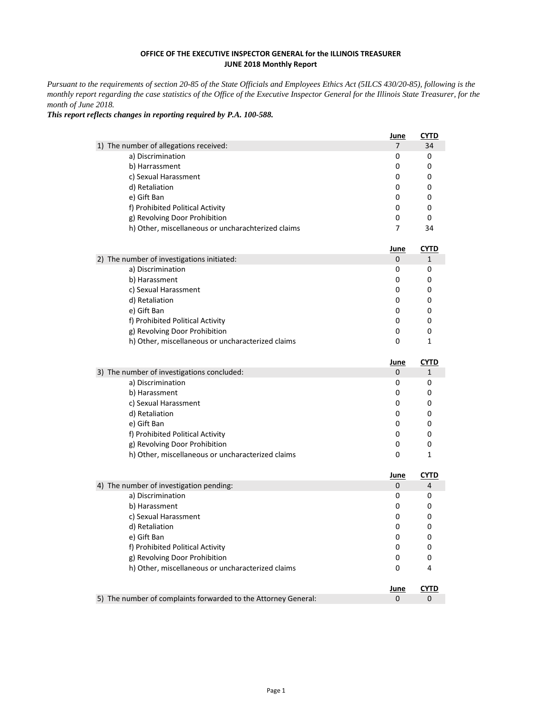*This report reflects changes in reporting required by P.A. 100-588.*

|                                                    | June | <b>CYTD</b> |
|----------------------------------------------------|------|-------------|
| 1) The number of allegations received:             |      | 34          |
| a) Discrimination                                  | 0    | 0           |
| b) Harrassment                                     | 0    | 0           |
| c) Sexual Harassment                               | 0    | 0           |
| d) Retaliation                                     | 0    | 0           |
| e) Gift Ban                                        | 0    | 0           |
| f) Prohibited Political Activity                   | 0    | 0           |
| g) Revolving Door Prohibition                      | 0    | 0           |
| h) Other, miscellaneous or uncharachterized claims |      | 34          |

|                                                   | June |  |
|---------------------------------------------------|------|--|
| 2) The number of investigations initiated:        | 0    |  |
| a) Discrimination                                 | 0    |  |
| b) Harassment                                     | O    |  |
| c) Sexual Harassment                              | 0    |  |
| d) Retaliation                                    | 0    |  |
| e) Gift Ban                                       | 0    |  |
| f) Prohibited Political Activity                  | 0    |  |
| g) Revolving Door Prohibition                     | 0    |  |
| h) Other, miscellaneous or uncharacterized claims |      |  |

|                                                   | June |   |
|---------------------------------------------------|------|---|
| 3) The number of investigations concluded:        | 0    |   |
| a) Discrimination                                 | 0    | 0 |
| b) Harassment                                     |      | O |
| c) Sexual Harassment                              | 0    |   |
| d) Retaliation                                    | 0    |   |
| e) Gift Ban                                       |      |   |
| f) Prohibited Political Activity                  |      |   |
| g) Revolving Door Prohibition                     |      |   |
| h) Other, miscellaneous or uncharacterized claims |      |   |

|                                                                                | June   | CYTD |
|--------------------------------------------------------------------------------|--------|------|
| 4) The number of investigation pending:                                        | Ü      | 4    |
| a) Discrimination                                                              | U      | 0    |
| b) Harassment                                                                  |        |      |
| c) Sexual Harassment                                                           |        |      |
| d) Retaliation                                                                 |        |      |
| e) Gift Ban                                                                    |        |      |
| f) Prohibited Political Activity                                               |        |      |
| g) Revolving Door Prohibition                                                  |        |      |
| le). Other un contra ellers er er en en ellers en en en ellers de el el second | $\sim$ |      |

| THE Other, iniscendiffeous or uncillated lead claims.          |      |             |
|----------------------------------------------------------------|------|-------------|
|                                                                | June | <b>CYTD</b> |
| 5) The number of complaints forwarded to the Attorney General: |      |             |

*Pursuant to the requirements of section 20-85 of the State Officials and Employees Ethics Act (5ILCS 430/20-85), following is the monthly report regarding the case statistics of the Office of the Executive Inspector General for the Illinois State Treasurer, for the month of June 2018.* 

## **OFFICE OF THE EXECUTIVE INSPECTOR GENERAL for the ILLINOIS TREASURER JUNE 2018 Monthly Report**